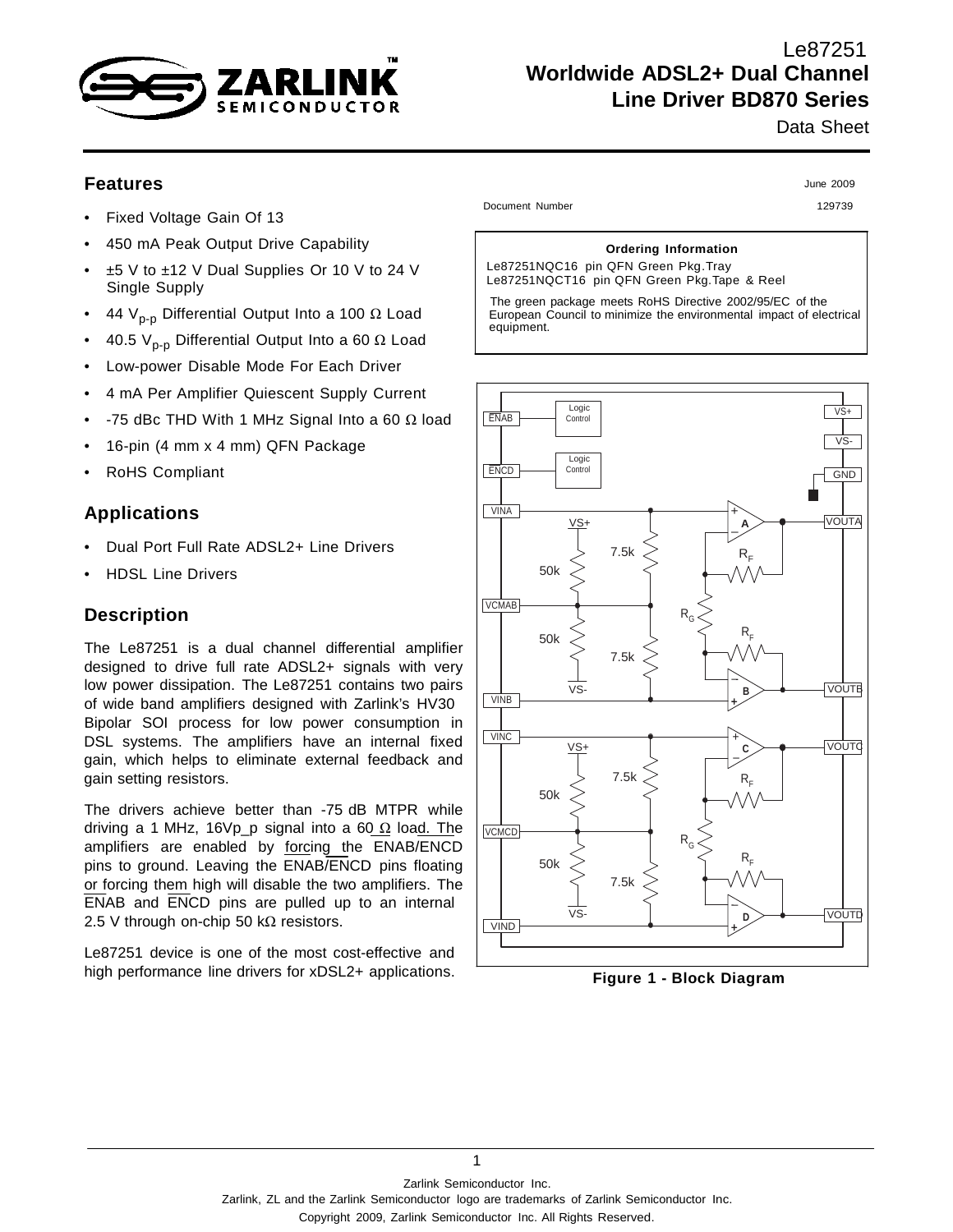

## Le87251 **Worldwide ADSL2+ Dual Channel Line Driver BD870 Series**

Data Sheet

### **Features**

- Fixed Voltage Gain Of 13
- 450 mA Peak Output Drive Capability
- ±5 V to ±12 V Dual Supplies Or 10 V to 24 V Single Supply
- 44  $V_{p-p}$  Differential Output Into a 100  $\Omega$  Load
- 40.5 V<sub>p-p</sub> Differential Output Into a 60  $\Omega$  Load
- Low-power Disable Mode For Each Driver
- 4 mA Per Amplifier Quiescent Supply Current
- -75 dBc THD With 1 MHz Signal Into a 60 Ω load
- 16-pin (4 mm x 4 mm) QFN Package
- RoHS Compliant

### **Applications**

- Dual Port Full Rate ADSL2+ Line Drivers
- HDSL Line Drivers

## **Description**

The Le87251 is a dual channel differential amplifier designed to drive full rate ADSL2+ signals with very low power dissipation. The Le87251 contains two pairs of wide band amplifiers designed with Zarlink's HV30 Bipolar SOI process for low power consumption in DSL systems. The amplifiers have an internal fixed gain, which helps to eliminate external feedback and gain setting resistors.

The drivers achieve better than -75 dB MTPR while driving a 1 MHz, 16Vp\_p signal into a 60  $Ω$  load. The amplifiers are enabled by forcing the ENAB/ENCD pins to ground. Leaving the ENAB/ENCD pins floating or forcing them high will disable the two amplifiers. The ENAB and ENCD pins are pulled up to an internal 2.5 V through on-chip 50 k $\Omega$  resistors.

Le87251 device is one of the most cost-effective and high performance line drivers for xDSL2+ applications. **Figure <sup>1</sup> - Block Diagram**

June 2009

Document Number 129739

#### **Ordering Information**

Le87251NQC16 pin QFN Green Pkg.Tray Le87251NQCT16 pin QFN Green Pkg.Tape & Reel

The green package meets RoHS Directive 2002/95/EC of the European Council to minimize the environmental impact of electrical equipment.

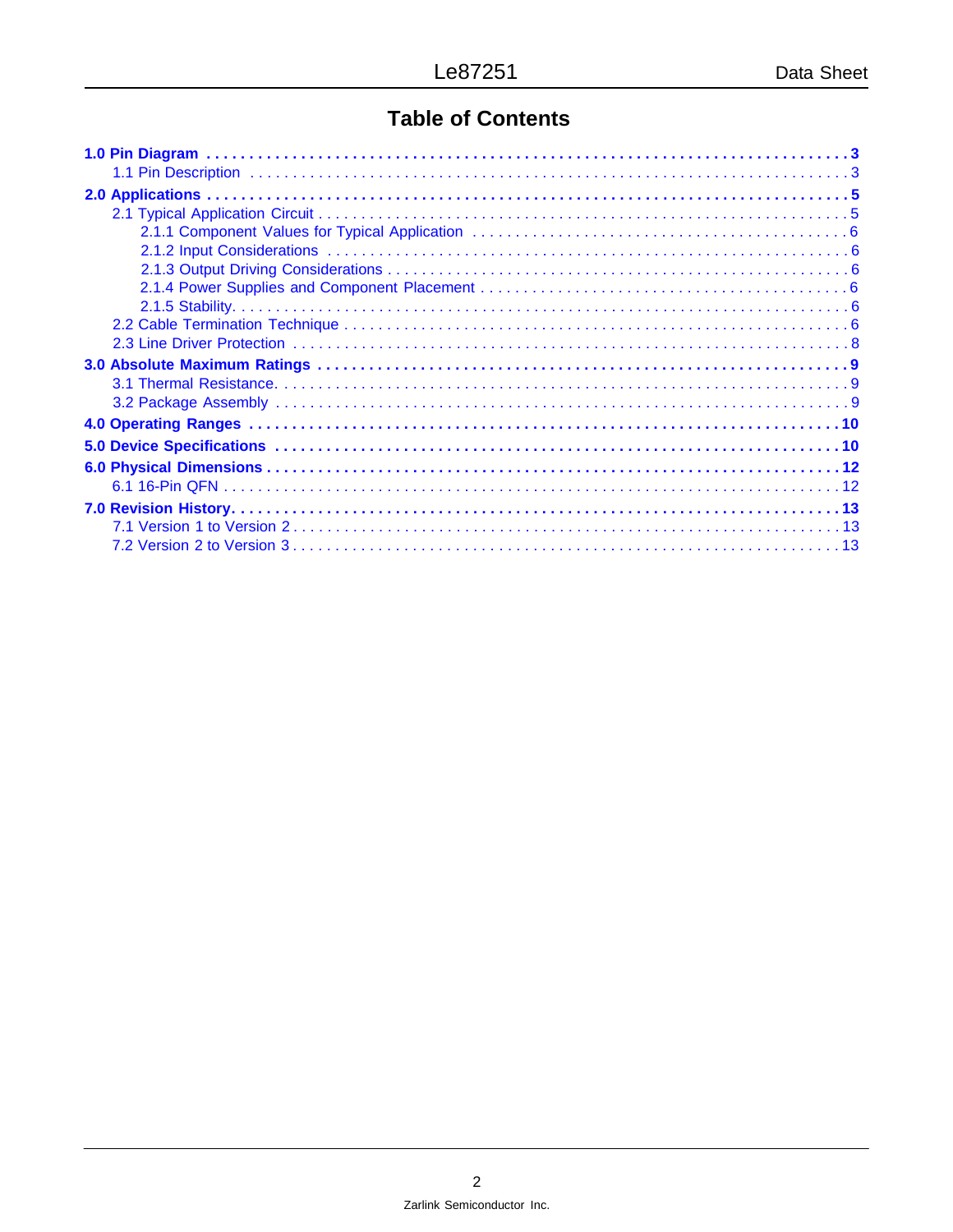# **Table of Contents**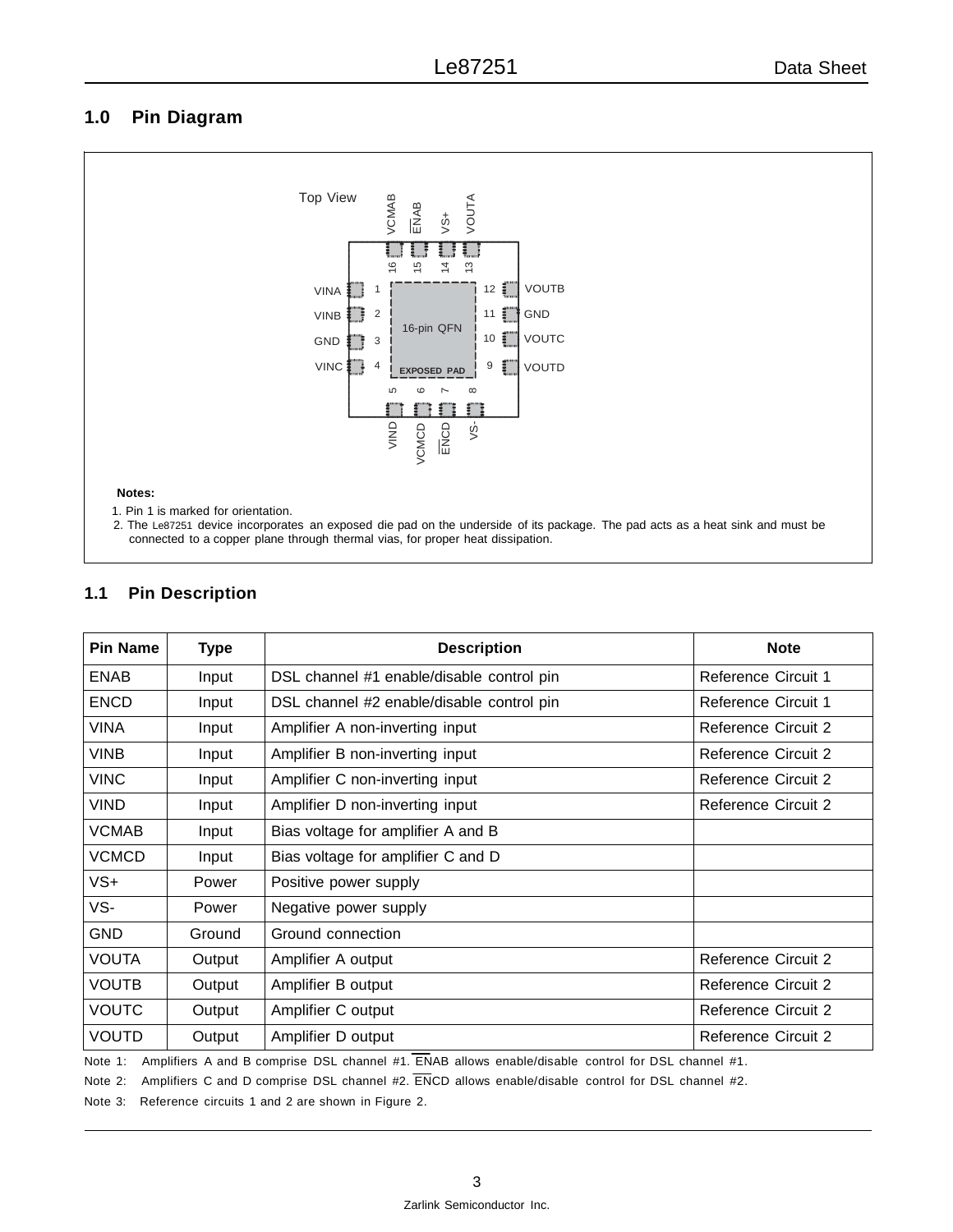## **1.0 Pin Diagram**



### **1.1 Pin Description**

| <b>Pin Name</b> | Type   | <b>Description</b>                        | <b>Note</b>         |
|-----------------|--------|-------------------------------------------|---------------------|
| <b>ENAB</b>     | Input  | DSL channel #1 enable/disable control pin | Reference Circuit 1 |
| <b>ENCD</b>     | Input  | DSL channel #2 enable/disable control pin | Reference Circuit 1 |
| <b>VINA</b>     | Input  | Amplifier A non-inverting input           | Reference Circuit 2 |
| <b>VINB</b>     | Input  | Amplifier B non-inverting input           | Reference Circuit 2 |
| <b>VINC</b>     | Input  | Amplifier C non-inverting input           | Reference Circuit 2 |
| <b>VIND</b>     | Input  | Amplifier D non-inverting input           | Reference Circuit 2 |
| <b>VCMAB</b>    | Input  | Bias voltage for amplifier A and B        |                     |
| <b>VCMCD</b>    | Input  | Bias voltage for amplifier C and D        |                     |
| $VS+$           | Power  | Positive power supply                     |                     |
| VS-             | Power  | Negative power supply                     |                     |
| <b>GND</b>      | Ground | Ground connection                         |                     |
| <b>VOUTA</b>    | Output | Amplifier A output                        | Reference Circuit 2 |
| <b>VOUTB</b>    | Output | Amplifier B output                        | Reference Circuit 2 |
| <b>VOUTC</b>    | Output | Amplifier C output                        | Reference Circuit 2 |
| <b>VOUTD</b>    | Output | Amplifier D output                        | Reference Circuit 2 |

Note 1: Amplifiers A and B comprise DSL channel #1. ENAB allows enable/disable control for DSL channel #1.

Note 2: Amplifiers C and D comprise DSL channel #2. ENCD allows enable/disable control for DSL channel #2.

Note 3: Reference circuits 1 and 2 are shown in Figure 2.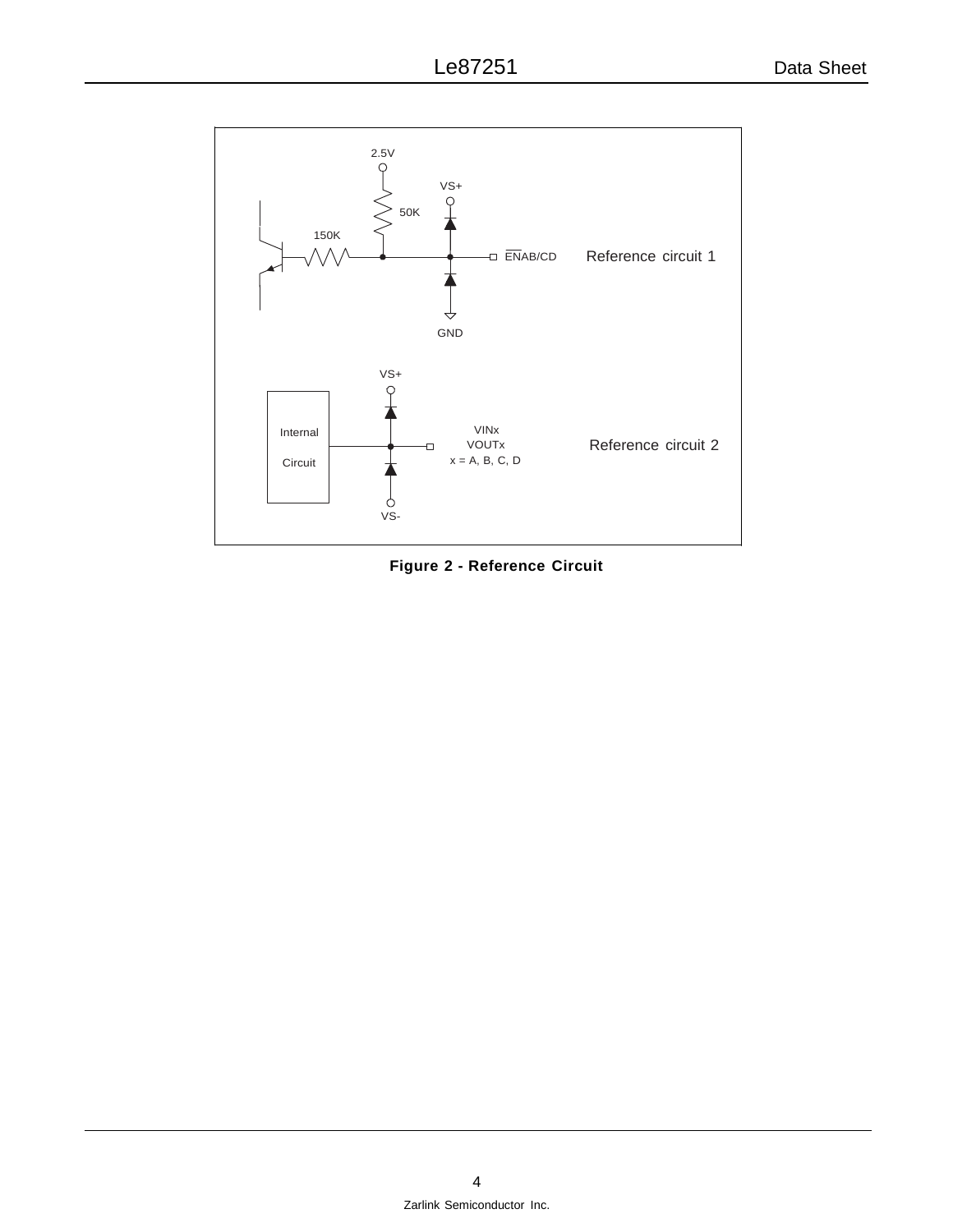

**Figure 2 - Reference Circuit**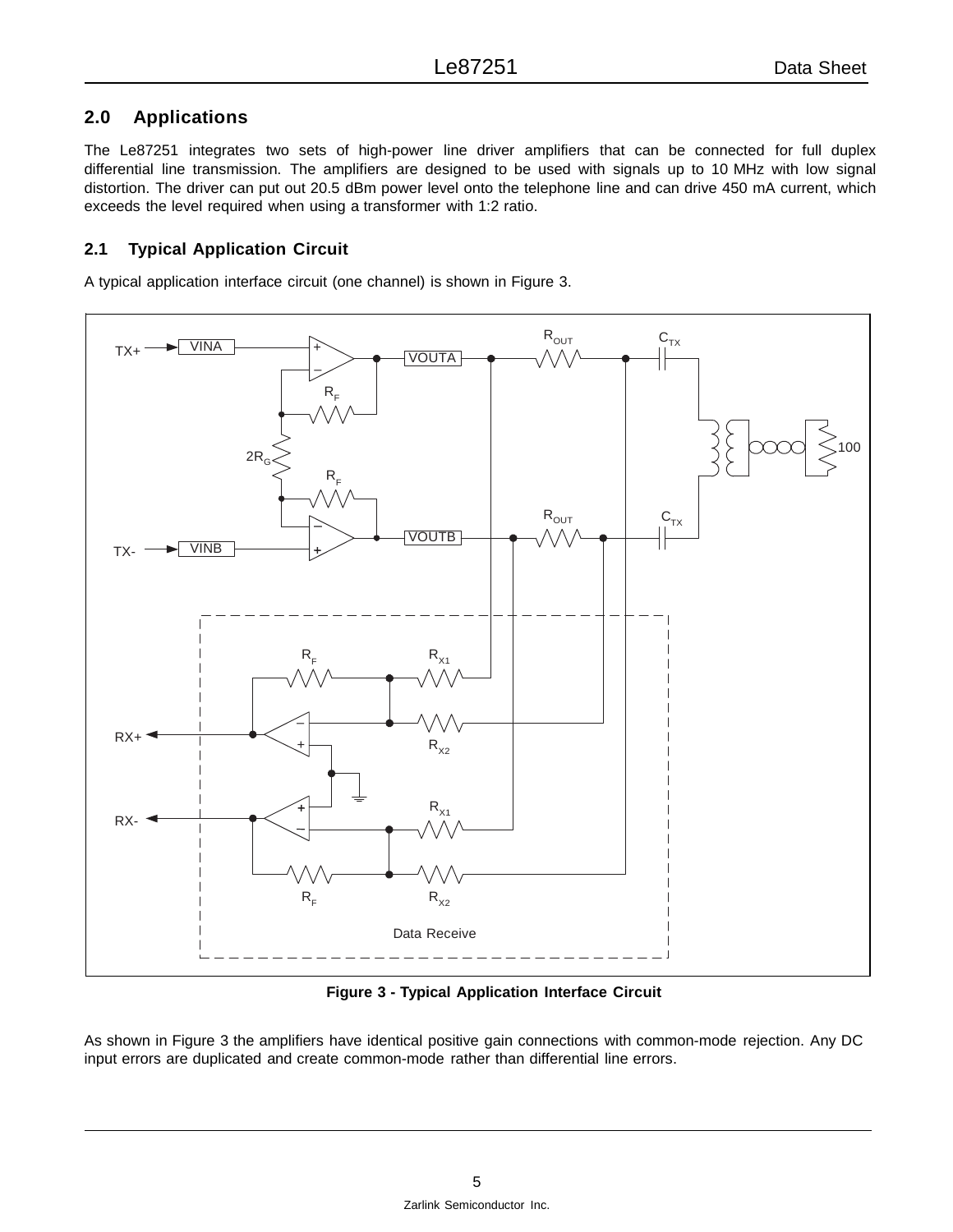## **2.0 Applications**

The Le87251 integrates two sets of high-power line driver amplifiers that can be connected for full duplex differential line transmission. The amplifiers are designed to be used with signals up to 10 MHz with low signal distortion. The driver can put out 20.5 dBm power level onto the telephone line and can drive 450 mA current, which exceeds the level required when using a transformer with 1:2 ratio.

## **2.1 Typical Application Circuit**

A typical application interface circuit (one channel) is shown in Figure 3.



**Figure 3 - Typical Application Interface Circuit**

As shown in Figure 3 the amplifiers have identical positive gain connections with common-mode rejection. Any DC input errors are duplicated and create common-mode rather than differential line errors.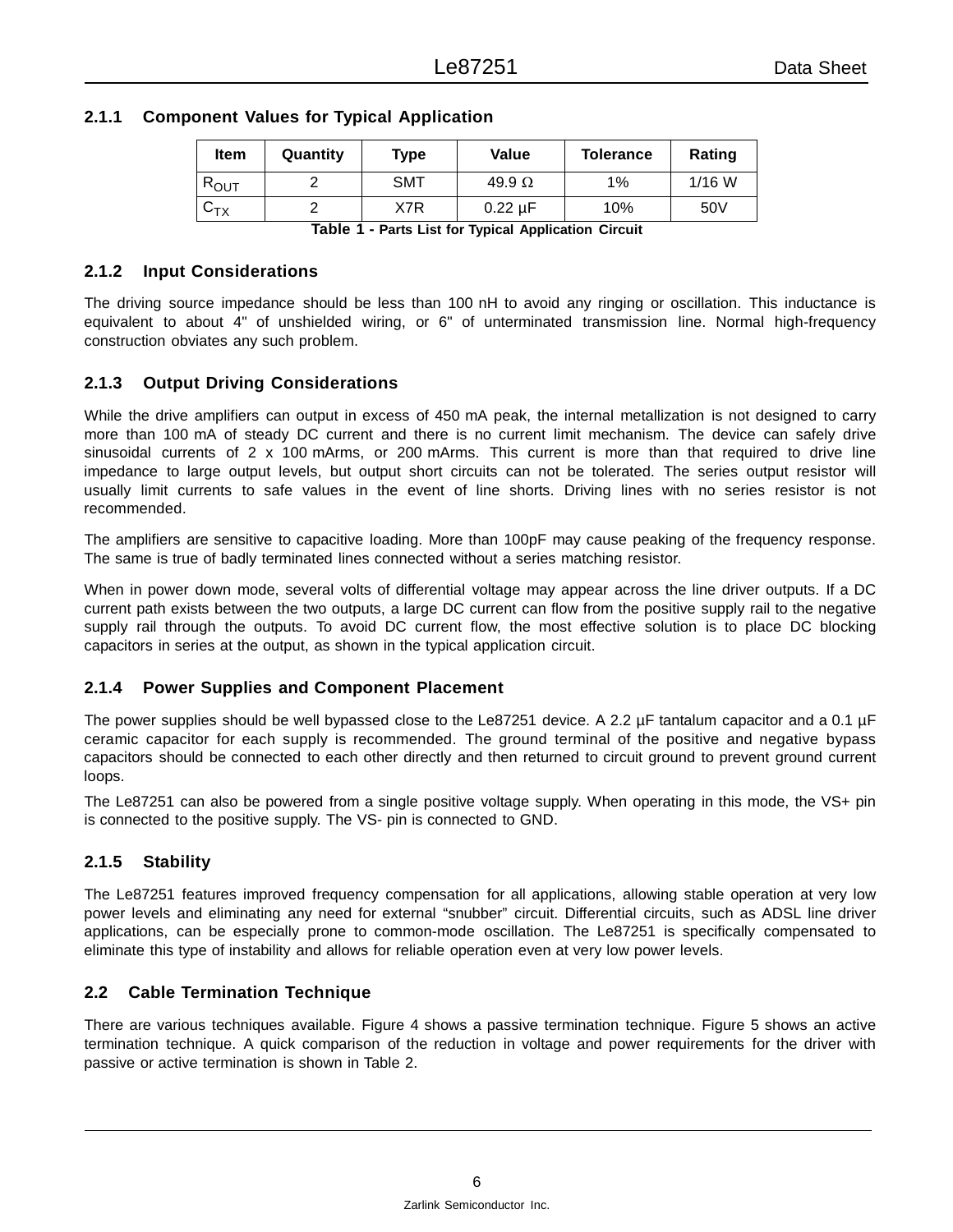## **2.1.1 Component Values for Typical Application**

| Item      | Quantity | Type | Value         | Tolerance | Rating          |
|-----------|----------|------|---------------|-----------|-----------------|
| $R_{OUT}$ |          | SMT  | 49.9 $\Omega$ | 1%        | $1/16$ W        |
| $v_{TX}$  |          | X7R  | 0.22 µF       | 10%       | 50 <sub>V</sub> |

| Table 1 - Parts List for Typical Application Circuit |  |  |  |
|------------------------------------------------------|--|--|--|
|------------------------------------------------------|--|--|--|

#### **2.1.2 Input Considerations**

The driving source impedance should be less than 100 nH to avoid any ringing or oscillation. This inductance is equivalent to about 4" of unshielded wiring, or 6" of unterminated transmission line. Normal high-frequency construction obviates any such problem.

### **2.1.3 Output Driving Considerations**

While the drive amplifiers can output in excess of 450 mA peak, the internal metallization is not designed to carry more than 100 mA of steady DC current and there is no current limit mechanism. The device can safely drive sinusoidal currents of 2 x 100 mArms, or 200 mArms. This current is more than that required to drive line impedance to large output levels, but output short circuits can not be tolerated. The series output resistor will usually limit currents to safe values in the event of line shorts. Driving lines with no series resistor is not recommended.

The amplifiers are sensitive to capacitive loading. More than 100pF may cause peaking of the frequency response. The same is true of badly terminated lines connected without a series matching resistor.

When in power down mode, several volts of differential voltage may appear across the line driver outputs. If a DC current path exists between the two outputs, a large DC current can flow from the positive supply rail to the negative supply rail through the outputs. To avoid DC current flow, the most effective solution is to place DC blocking capacitors in series at the output, as shown in the typical application circuit.

#### **2.1.4 Power Supplies and Component Placement**

The power supplies should be well bypassed close to the Le87251 device. A 2.2 µF tantalum capacitor and a 0.1 µF ceramic capacitor for each supply is recommended. The ground terminal of the positive and negative bypass capacitors should be connected to each other directly and then returned to circuit ground to prevent ground current loops.

The Le87251 can also be powered from a single positive voltage supply. When operating in this mode, the VS+ pin is connected to the positive supply. The VS- pin is connected to GND.

#### **2.1.5 Stability**

The Le87251 features improved frequency compensation for all applications, allowing stable operation at very low power levels and eliminating any need for external "snubber" circuit. Differential circuits, such as ADSL line driver applications, can be especially prone to common-mode oscillation. The Le87251 is specifically compensated to eliminate this type of instability and allows for reliable operation even at very low power levels.

#### **2.2 Cable Termination Technique**

There are various techniques available. Figure 4 shows a passive termination technique. Figure 5 shows an active termination technique. A quick comparison of the reduction in voltage and power requirements for the driver with passive or active termination is shown in Table 2.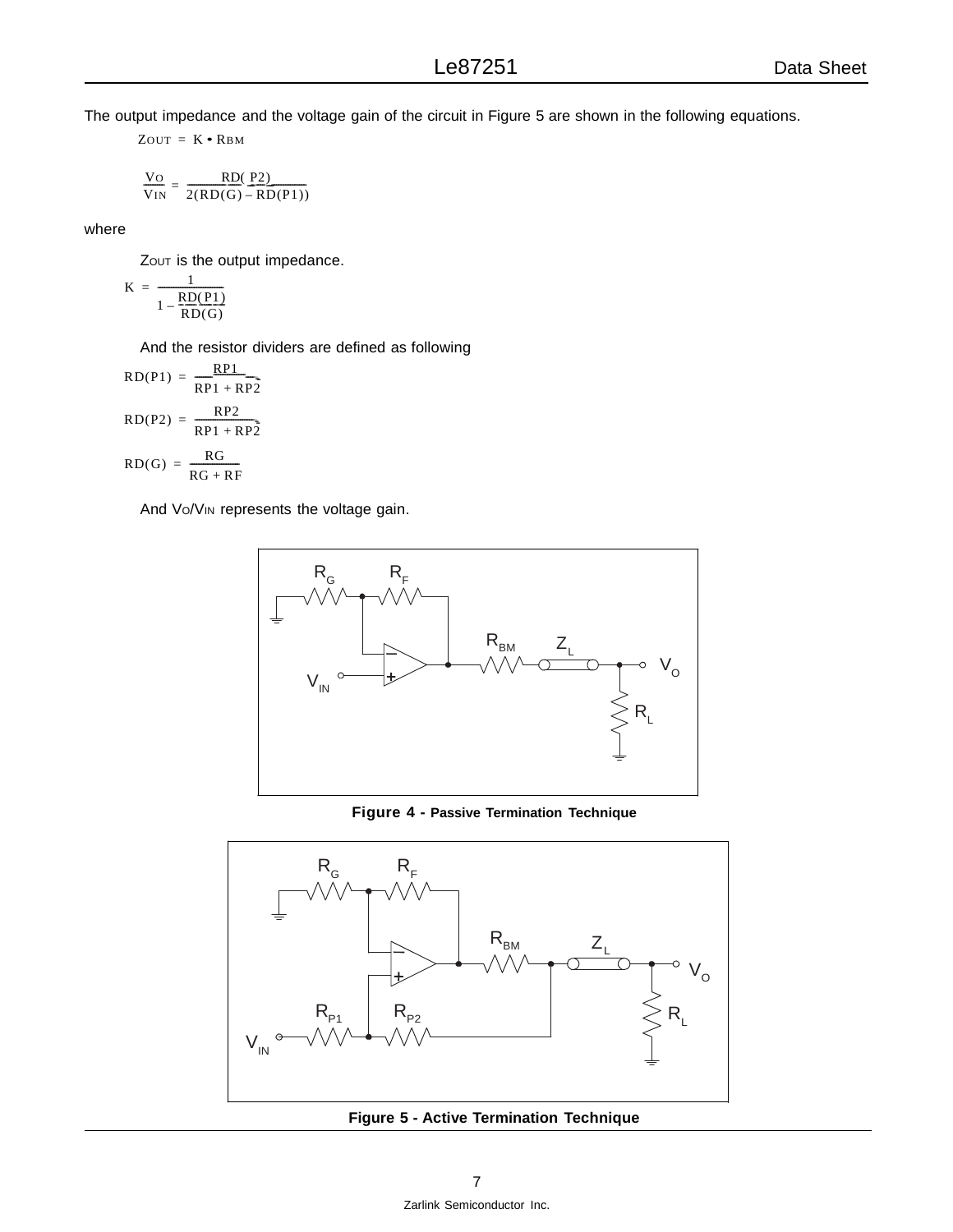The output impedance and the voltage gain of the circuit in Figure 5 are shown in the following equations.

 $Z$ OUT =  $K \cdot R$ BM

$$
\frac{V_O}{V_{IN}}=\frac{RD( \; P2)}{2(RD(G)-RD(P1))}
$$

where

Zout is the output impedance.

$$
K = \frac{1}{1 - \frac{RD(P1)}{RD(G)}}
$$

And the resistor dividers are defined as following

$$
RD(P1) = \frac{RP1}{RP1 + RP2}
$$

$$
RD(P2) = \frac{RP2}{RP1 + RP2}
$$

$$
RD(G) = \frac{RG}{RG + RF}
$$

And Vo/VIN represents the voltage gain.



**Figure 4 - Passive Termination Technique**



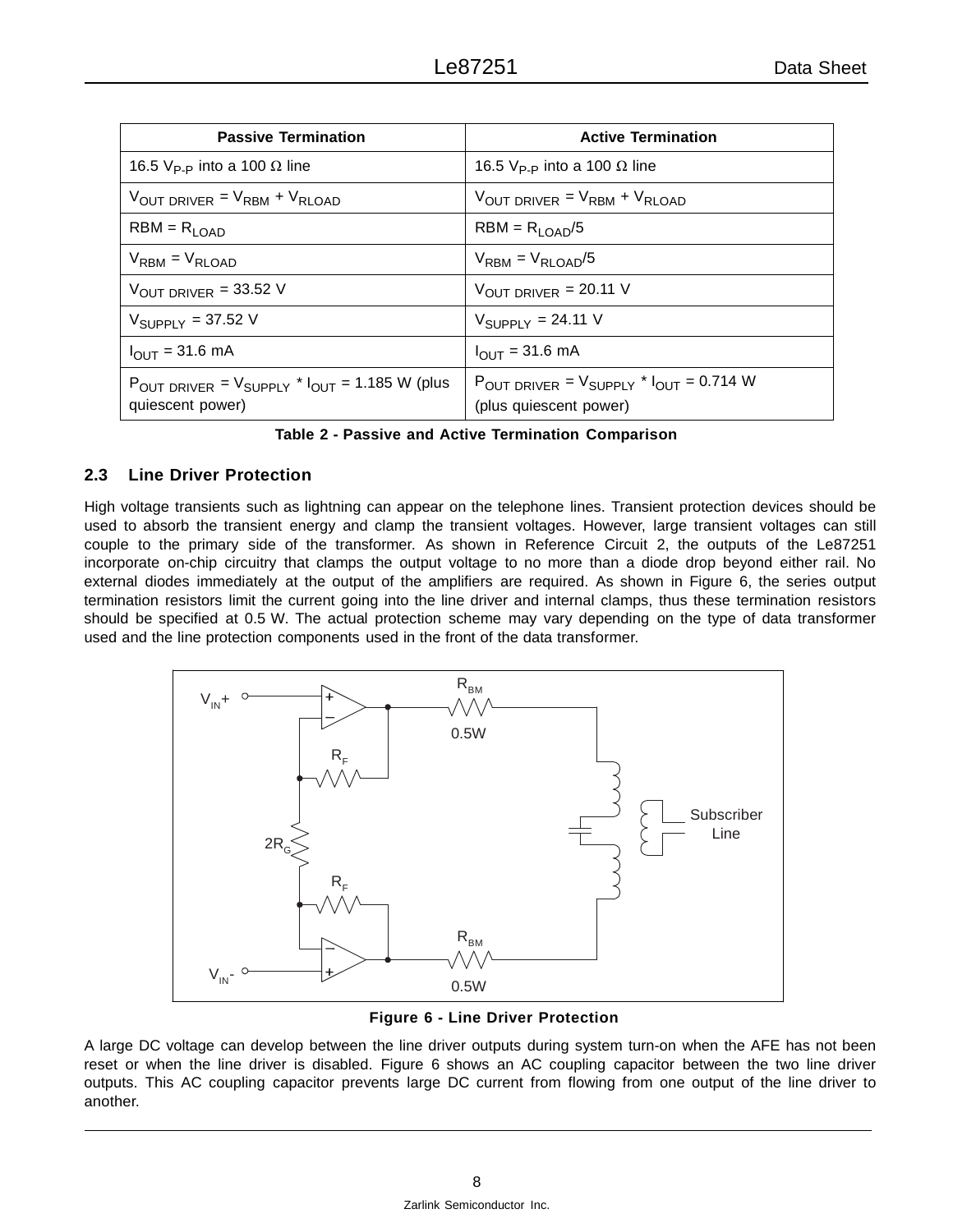| <b>Passive Termination</b>                                                                                | <b>Active Termination</b>                                                                |
|-----------------------------------------------------------------------------------------------------------|------------------------------------------------------------------------------------------|
| 16.5 $V_{\text{P-P}}$ into a 100 $\Omega$ line                                                            | 16.5 V <sub>P-P</sub> into a 100 $\Omega$ line                                           |
| $V_{OUT DRIVER} = V_{RBM} + V_{RLOAD}$                                                                    | $V_{OUT DRIVER} = V_{RBM} + V_{RLOAD}$                                                   |
| $RBM = R_{LOAD}$                                                                                          | $RBM = R1 OAD/5$                                                                         |
| $V_{RBM} = V_{RLOAD}$                                                                                     | $V_{RBM} = V_{RI OAD}/5$                                                                 |
| $V_{\text{OUT DRIVER}}$ = 33.52 V                                                                         | $V_{\text{OUT DRIVER}} = 20.11 V$                                                        |
| $V_{SUPPLY} = 37.52 V$                                                                                    | $V_{SUPPLY}$ = 24.11 V                                                                   |
| $I_{\text{OUT}} = 31.6 \text{ mA}$                                                                        | $I_{OUT}$ = 31.6 mA                                                                      |
| $P_{\text{OUT DRIVER}} = V_{\text{SUPPLY}} * I_{\text{OUT}} = 1.185 \text{ W (plus)}$<br>quiescent power) | POUT DRIVER = $V_{\text{SUPPLY}}$ * $I_{\text{OUT}}$ = 0.714 W<br>(plus quiescent power) |

**Table 2 - Passive and Active Termination Comparison**

#### **2.3 Line Driver Protection**

High voltage transients such as lightning can appear on the telephone lines. Transient protection devices should be used to absorb the transient energy and clamp the transient voltages. However, large transient voltages can still couple to the primary side of the transformer. As shown in Reference Circuit 2, the outputs of the Le87251 incorporate on-chip circuitry that clamps the output voltage to no more than a diode drop beyond either rail. No external diodes immediately at the output of the amplifiers are required. As shown in Figure 6, the series output termination resistors limit the current going into the line driver and internal clamps, thus these termination resistors should be specified at 0.5 W. The actual protection scheme may vary depending on the type of data transformer used and the line protection components used in the front of the data transformer.



**Figure 6 - Line Driver Protection**

A large DC voltage can develop between the line driver outputs during system turn-on when the AFE has not been reset or when the line driver is disabled. Figure 6 shows an AC coupling capacitor between the two line driver outputs. This AC coupling capacitor prevents large DC current from flowing from one output of the line driver to another.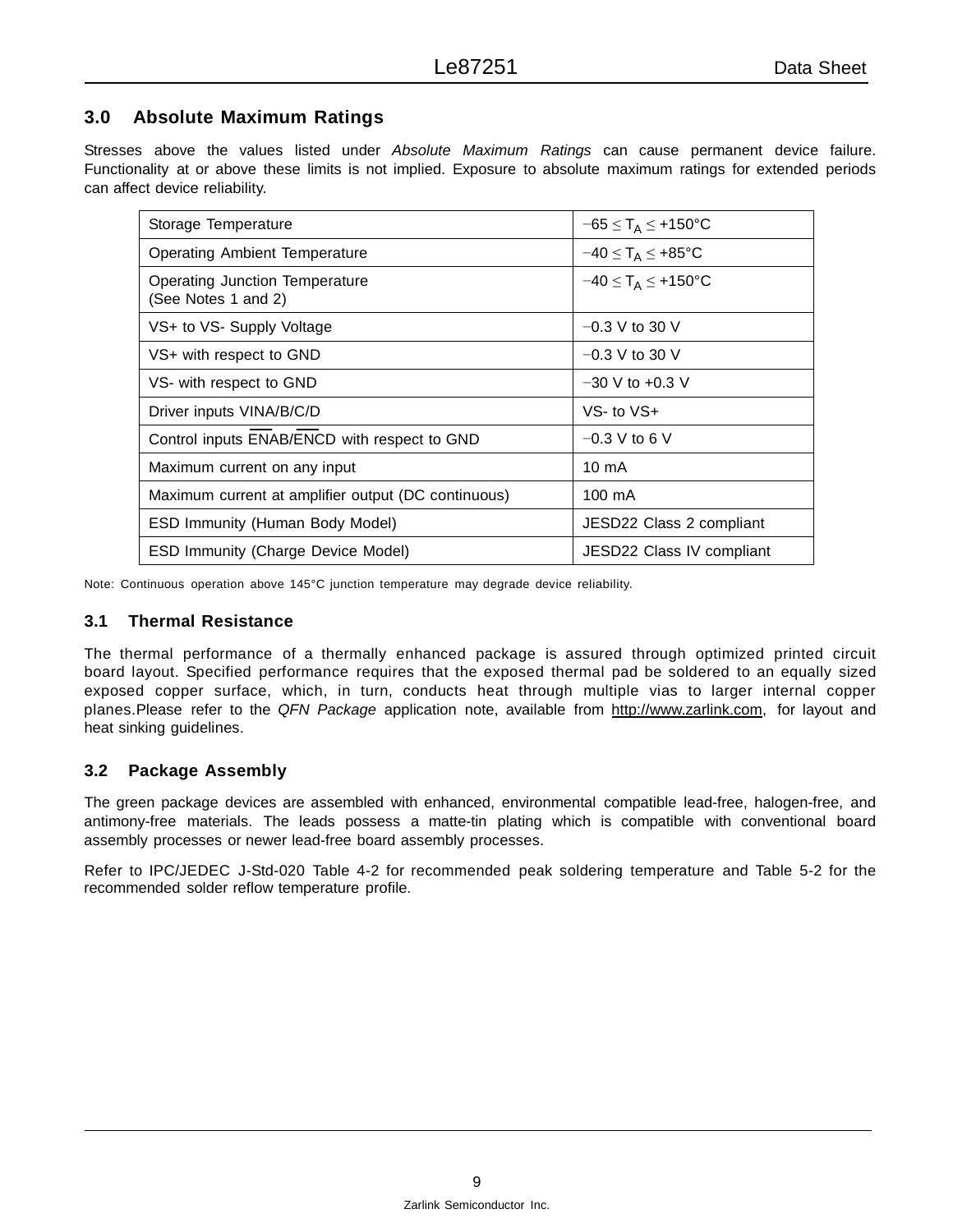## **3.0 Absolute Maximum Ratings**

Stresses above the values listed under *Absolute Maximum Ratings* can cause permanent device failure. Functionality at or above these limits is not implied. Exposure to absolute maximum ratings for extended periods can affect device reliability.

| Storage Temperature                                   | $-65 \leq T_A \leq +150^{\circ}$ C |
|-------------------------------------------------------|------------------------------------|
| Operating Ambient Temperature                         | $-40 \leq T_A \leq +85^{\circ}$ C  |
| Operating Junction Temperature<br>(See Notes 1 and 2) | $-40 \leq T_A \leq +150^{\circ}C$  |
| VS+ to VS- Supply Voltage                             | $-0.3$ V to 30 V                   |
| VS+ with respect to GND                               | $-0.3$ V to 30 V                   |
| VS- with respect to GND                               | $-30$ V to $+0.3$ V                |
| Driver inputs VINA/B/C/D                              | $VS$ - to $VS$ +                   |
| Control inputs ENAB/ENCD with respect to GND          | $-0.3$ V to 6 V                    |
| Maximum current on any input                          | $10 \text{ mA}$                    |
| Maximum current at amplifier output (DC continuous)   | 100 mA                             |
| ESD Immunity (Human Body Model)                       | JESD22 Class 2 compliant           |
| <b>ESD Immunity (Charge Device Model)</b>             | JESD22 Class IV compliant          |

Note: Continuous operation above 145°C junction temperature may degrade device reliability.

#### **3.1 Thermal Resistance**

The thermal performance of a thermally enhanced package is assured through optimized printed circuit board layout. Specified performance requires that the exposed thermal pad be soldered to an equally sized exposed copper surface, which, in turn, conducts heat through multiple vias to larger internal copper planes.Please refer to the *QFN Package* application note, available from [http://www.zarlink.com,](http://www.legerity.com/public.php?p=documentation) for layout and heat sinking guidelines.

#### **3.2 Package Assembly**

The green package devices are assembled with enhanced, environmental compatible lead-free, halogen-free, and antimony-free materials. The leads possess a matte-tin plating which is compatible with conventional board assembly processes or newer lead-free board assembly processes.

Refer to IPC/JEDEC J-Std-020 Table 4-2 for recommended peak soldering temperature and Table 5-2 for the recommended solder reflow temperature profile.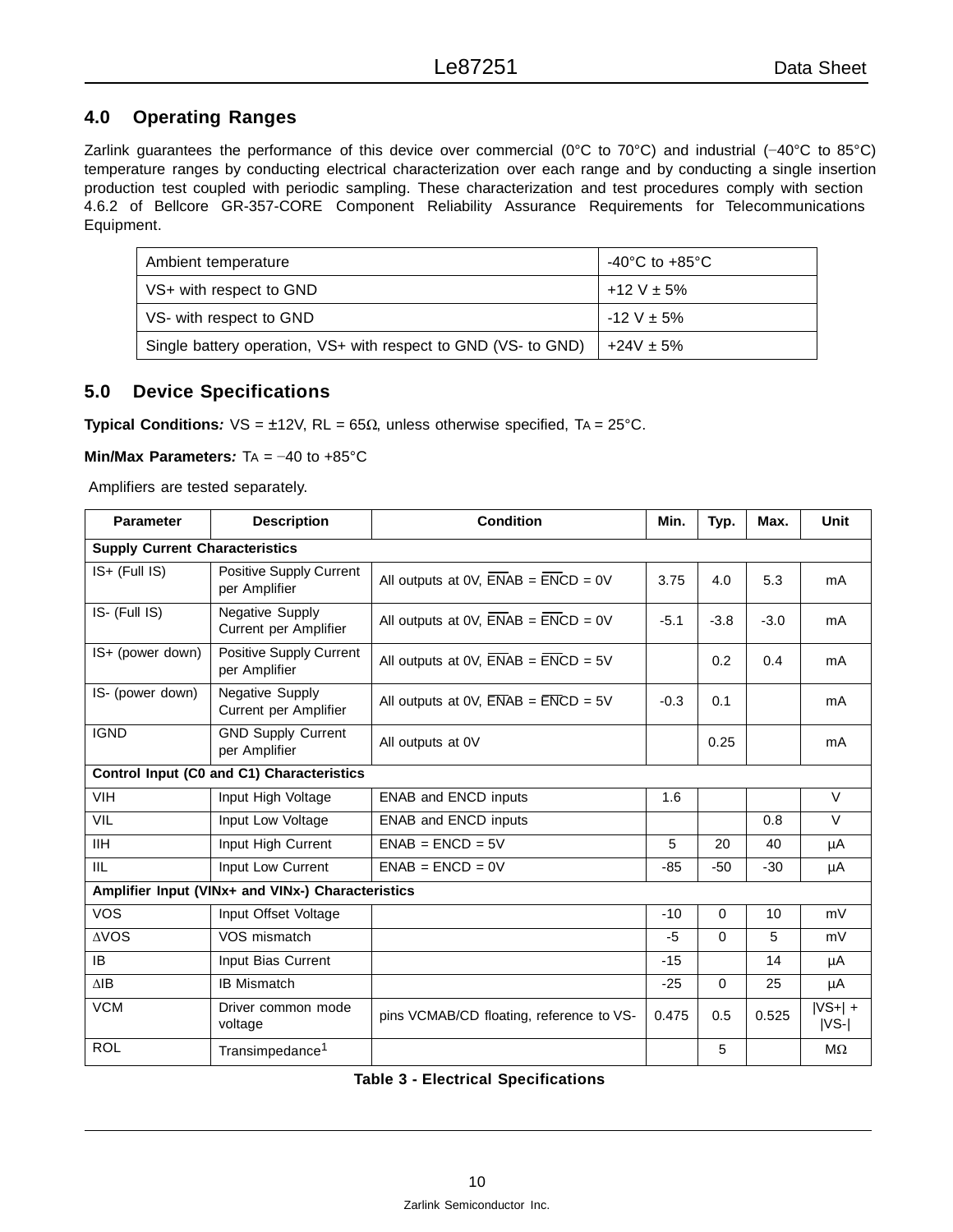## **4.0 Operating Ranges**

Zarlink guarantees the performance of this device over commercial (0°C to 70°C) and industrial (−40°C to 85°C) temperature ranges by conducting electrical characterization over each range and by conducting a single insertion production test coupled with periodic sampling. These characterization and test procedures comply with section 4.6.2 of Bellcore GR-357-CORE Component Reliability Assurance Requirements for Telecommunications Equipment.

| Ambient temperature                                            | -40 $^{\circ}$ C to +85 $^{\circ}$ C |
|----------------------------------------------------------------|--------------------------------------|
| VS+ with respect to GND                                        | $+12$ V $\pm$ 5%                     |
| VS- with respect to GND                                        | $-12$ V $\pm$ 5%                     |
| Single battery operation, VS+ with respect to GND (VS- to GND) | $+24V + 5%$                          |

## **5.0 Device Specifications**

**Typical Conditions***:* VS = ±12V, RL = 65Ω, unless otherwise specified, TA = 25°C.

#### **Min/Max Parameters***:* TA = −40 to +85°C

Amplifiers are tested separately.

| <b>Parameter</b>                      | <b>Description</b>                                | <b>Condition</b>                                            | Min.   | Typ.     | Max.   | <b>Unit</b>          |  |
|---------------------------------------|---------------------------------------------------|-------------------------------------------------------------|--------|----------|--------|----------------------|--|
| <b>Supply Current Characteristics</b> |                                                   |                                                             |        |          |        |                      |  |
| IS+ (Full IS)                         | Positive Supply Current<br>per Amplifier          | All outputs at 0V, $\overline{ENAB} = \overline{ENCD} = 0V$ | 3.75   | 4.0      | 5.3    | mA                   |  |
| IS- (Full IS)                         | Negative Supply<br>Current per Amplifier          | All outputs at 0V, $ENAB = ENCD = 0V$                       | $-5.1$ | $-3.8$   | $-3.0$ | mA                   |  |
| IS+ (power down)                      | Positive Supply Current<br>per Amplifier          | All outputs at 0V, $\overline{ENAB} = \overline{ENCD} = 5V$ |        | 0.2      | 0.4    | mA                   |  |
| IS- (power down)                      | Negative Supply<br>Current per Amplifier          | All outputs at 0V, $\overline{ENAB} = \overline{ENCD} = 5V$ | $-0.3$ | 0.1      |        | mA                   |  |
| <b>IGND</b>                           | <b>GND Supply Current</b><br>per Amplifier        | All outputs at 0V                                           |        | 0.25     |        | mA                   |  |
|                                       | Control Input (C0 and C1) Characteristics         |                                                             |        |          |        |                      |  |
| <b>VIH</b>                            | Input High Voltage                                | <b>ENAB and ENCD inputs</b>                                 | 1.6    |          |        | $\vee$               |  |
| <b>VIL</b>                            | Input Low Voltage                                 | <b>ENAB and ENCD inputs</b>                                 |        |          | 0.8    | V                    |  |
| <b>IIH</b>                            | Input High Current                                | $ENAB = ENCD = 5V$                                          | 5      | 20       | 40     | μA                   |  |
| IIL                                   | Input Low Current                                 | $ENAB = ENCD = 0V$                                          | $-85$  | $-50$    | $-30$  | μA                   |  |
|                                       | Amplifier Input (VINx+ and VINx-) Characteristics |                                                             |        |          |        |                      |  |
| <b>VOS</b>                            | Input Offset Voltage                              |                                                             | $-10$  | $\Omega$ | 10     | mV                   |  |
| <b>AVOS</b>                           | VOS mismatch                                      |                                                             | $-5$   | $\Omega$ | 5      | mV                   |  |
| IB                                    | Input Bias Current                                |                                                             | $-15$  |          | 14     | μA                   |  |
| $\triangle$ IB                        | <b>IB Mismatch</b>                                |                                                             | $-25$  | $\Omega$ | 25     | μA                   |  |
| <b>VCM</b>                            | Driver common mode<br>voltage                     | pins VCMAB/CD floating, reference to VS-                    | 0.475  | 0.5      | 0.525  | $ VS+ $ +<br>$ VS- $ |  |
| <b>ROL</b>                            | Transimpedance <sup>1</sup>                       |                                                             |        | 5        |        | $M\Omega$            |  |

| <b>Table 3 - Electrical Specifications</b> |  |
|--------------------------------------------|--|
|--------------------------------------------|--|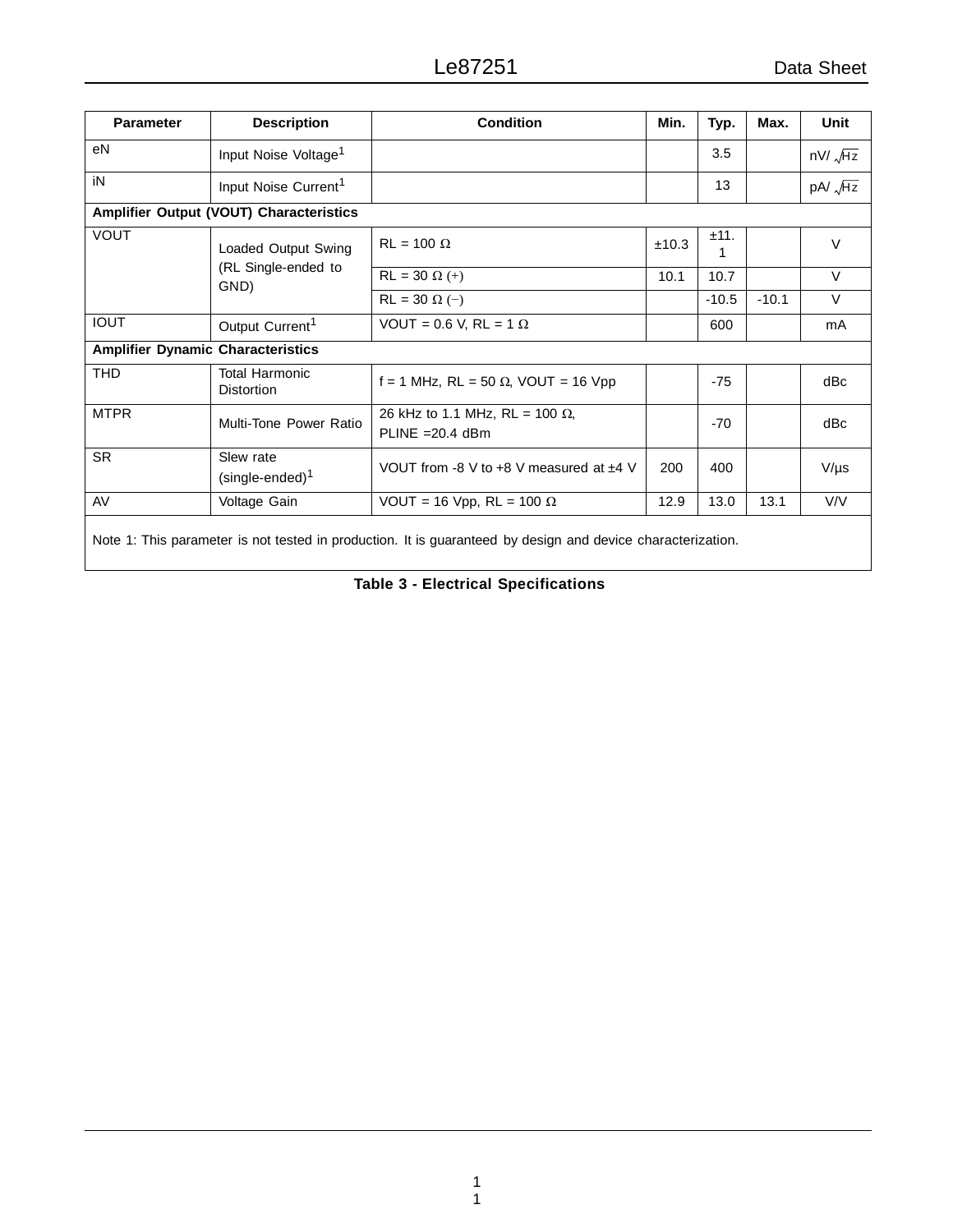| <b>Parameter</b>                                                                                            | <b>Description</b>                         | <b>Condition</b>                                             | Min.  | Typ.      | Max.    | <b>Unit</b>    |
|-------------------------------------------------------------------------------------------------------------|--------------------------------------------|--------------------------------------------------------------|-------|-----------|---------|----------------|
| eN                                                                                                          | Input Noise Voltage <sup>1</sup>           |                                                              |       | 3.5       |         | $nV/\sqrt{Hz}$ |
| iN                                                                                                          | Input Noise Current <sup>1</sup>           |                                                              |       | 13        |         | $pA/\sqrt{Hz}$ |
|                                                                                                             | Amplifier Output (VOUT) Characteristics    |                                                              |       |           |         |                |
| <b>VOUT</b>                                                                                                 | Loaded Output Swing                        | $RL = 100 \Omega$                                            | ±10.3 | ±11.<br>1 |         | $\vee$         |
|                                                                                                             | (RL Single-ended to<br>GND)                | $RL = 30 \Omega (+)$                                         | 10.1  | 10.7      |         | $\vee$         |
|                                                                                                             |                                            | $RL = 30 \Omega (-)$                                         |       | $-10.5$   | $-10.1$ | V              |
| <b>IOUT</b>                                                                                                 | Output Current <sup>1</sup>                | VOUT = 0.6 V, RL = 1 $\Omega$                                |       | 600       |         | mA             |
| <b>Amplifier Dynamic Characteristics</b>                                                                    |                                            |                                                              |       |           |         |                |
| <b>THD</b>                                                                                                  | <b>Total Harmonic</b><br><b>Distortion</b> | f = 1 MHz, RL = 50 $\Omega$ , VOUT = 16 Vpp                  |       | $-75$     |         | dBc            |
| <b>MTPR</b>                                                                                                 | Multi-Tone Power Ratio                     | 26 kHz to 1.1 MHz, RL = 100 $\Omega$ ,<br>PLINE = $20.4$ dBm |       | $-70$     |         | dBc            |
| <b>SR</b>                                                                                                   | Slew rate<br>$(single-ended)^1$            | VOUT from -8 V to +8 V measured at $±4$ V                    | 200   | 400       |         | $V/\mu s$      |
| AV                                                                                                          | Voltage Gain                               | VOUT = 16 Vpp, RL = 100 $\Omega$                             | 12.9  | 13.0      | 13.1    | V/V            |
| Note 1: This parameter is not tested in production. It is guaranteed by design and device characterization. |                                            |                                                              |       |           |         |                |

**Table 3 - Electrical Specifications**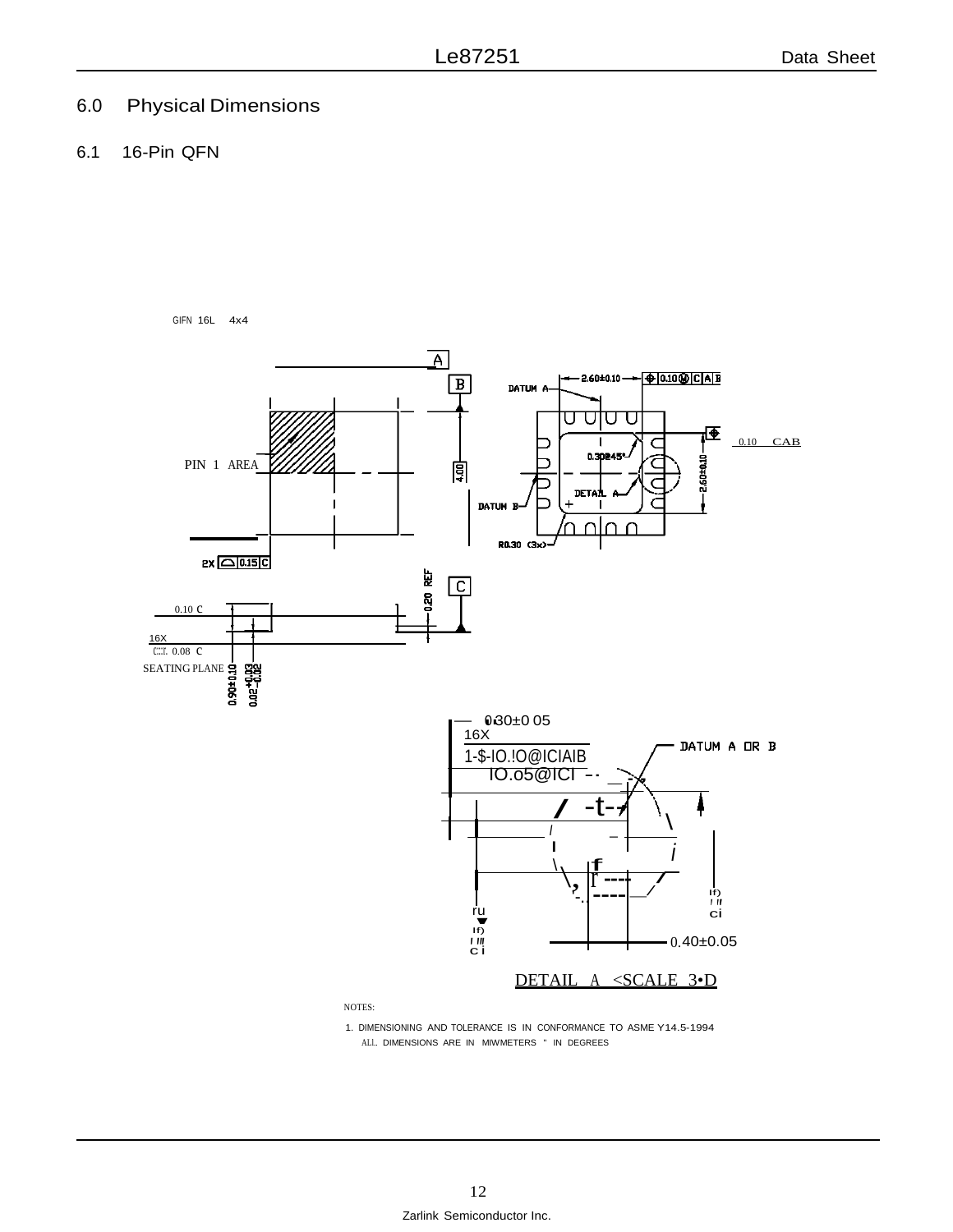## 6.0 Physical Dimensions

GIFN 16L 4x4

6.1 16-Pin QFN



1. DIMENSIONING AND TOLERANCE IS IN CONFORMANCE TO ASME Y14.5-1994 ALl.. DIMENSIONS ARE IN MIWMETERS " IN DEGREES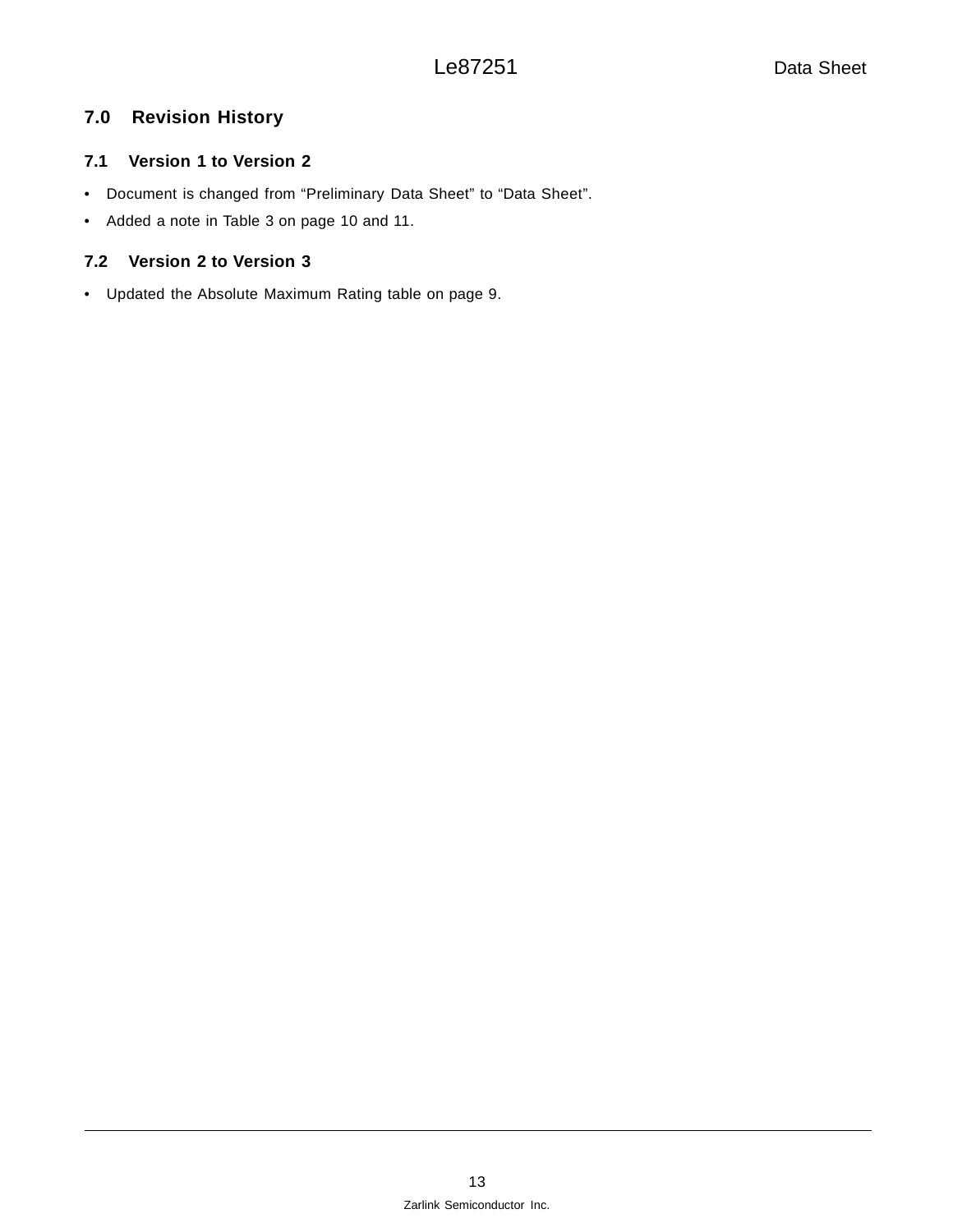## **7.0 Revision History**

#### **7.1 Version 1 to Version 2**

- Document is changed from "Preliminary Data Sheet" to "Data Sheet".
- Added a note in Table 3 on page 10 and 11.

#### **7.2 Version 2 to Version 3**

• Updated the Absolute Maximum Rating table on page 9.